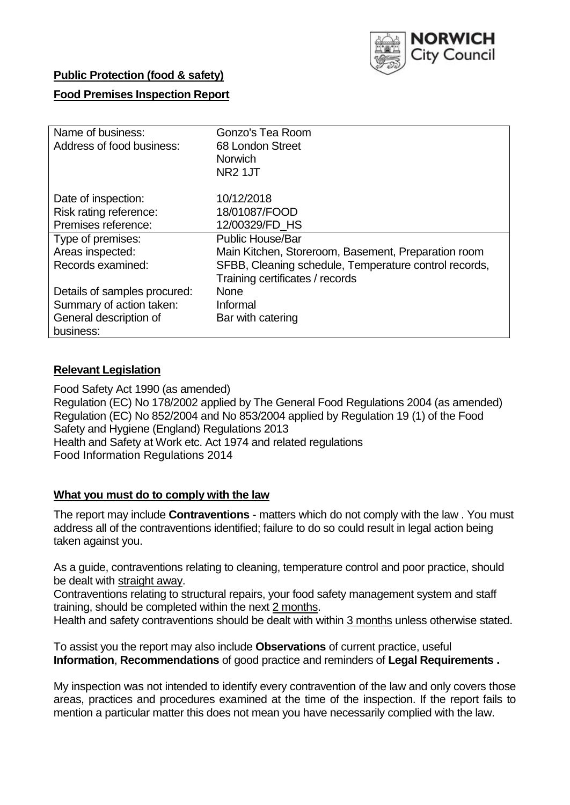

## **Public Protection (food & safety)**

## **Food Premises Inspection Report**

| Name of business:            | Gonzo's Tea Room                                      |
|------------------------------|-------------------------------------------------------|
| Address of food business:    | 68 London Street                                      |
|                              | <b>Norwich</b>                                        |
|                              | NR <sub>2</sub> 1JT                                   |
| Date of inspection:          | 10/12/2018                                            |
| Risk rating reference:       | 18/01087/FOOD                                         |
| Premises reference:          | 12/00329/FD HS                                        |
| Type of premises:            | <b>Public House/Bar</b>                               |
| Areas inspected:             | Main Kitchen, Storeroom, Basement, Preparation room   |
| Records examined:            | SFBB, Cleaning schedule, Temperature control records, |
|                              | Training certificates / records                       |
| Details of samples procured: | <b>None</b>                                           |
| Summary of action taken:     | Informal                                              |
| General description of       | Bar with catering                                     |
| business:                    |                                                       |

#### **Relevant Legislation**

Food Safety Act 1990 (as amended) Regulation (EC) No 178/2002 applied by The General Food Regulations 2004 (as amended) Regulation (EC) No 852/2004 and No 853/2004 applied by Regulation 19 (1) of the Food Safety and Hygiene (England) Regulations 2013 Health and Safety at Work etc. Act 1974 and related regulations Food Information Regulations 2014

#### **What you must do to comply with the law**

The report may include **Contraventions** - matters which do not comply with the law . You must address all of the contraventions identified; failure to do so could result in legal action being taken against you.

As a guide, contraventions relating to cleaning, temperature control and poor practice, should be dealt with straight away.

Contraventions relating to structural repairs, your food safety management system and staff training, should be completed within the next 2 months.

Health and safety contraventions should be dealt with within 3 months unless otherwise stated.

To assist you the report may also include **Observations** of current practice, useful **Information**, **Recommendations** of good practice and reminders of **Legal Requirements .**

My inspection was not intended to identify every contravention of the law and only covers those areas, practices and procedures examined at the time of the inspection. If the report fails to mention a particular matter this does not mean you have necessarily complied with the law.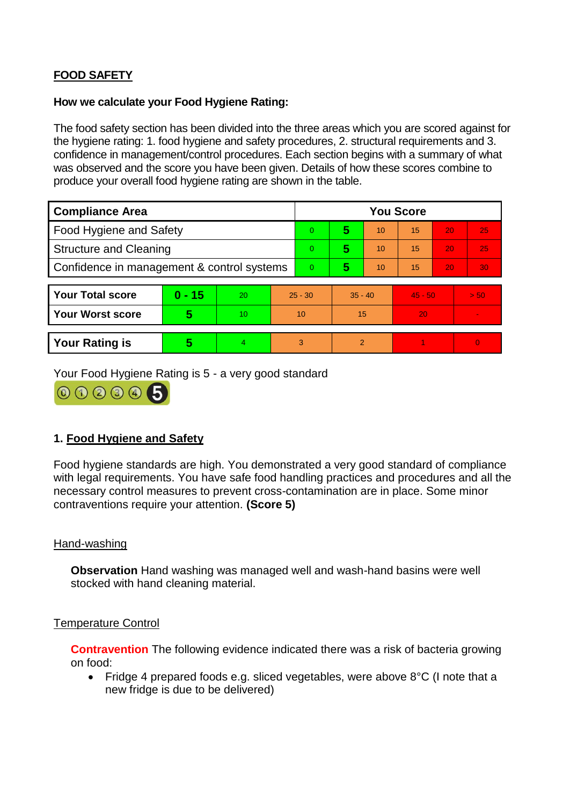# **FOOD SAFETY**

### **How we calculate your Food Hygiene Rating:**

The food safety section has been divided into the three areas which you are scored against for the hygiene rating: 1. food hygiene and safety procedures, 2. structural requirements and 3. confidence in management/control procedures. Each section begins with a summary of what was observed and the score you have been given. Details of how these scores combine to produce your overall food hygiene rating are shown in the table.

| <b>Compliance Area</b>                     |          |    |                | <b>You Score</b> |           |    |           |    |                |  |  |
|--------------------------------------------|----------|----|----------------|------------------|-----------|----|-----------|----|----------------|--|--|
| Food Hygiene and Safety                    |          |    |                | $\Omega$         | 5         | 10 | 15        | 20 | 25             |  |  |
| <b>Structure and Cleaning</b>              |          |    | $\overline{0}$ | 5                | 10        | 15 | 20        | 25 |                |  |  |
| Confidence in management & control systems |          |    | $\overline{0}$ | 5                | 10        | 15 | 20        | 30 |                |  |  |
|                                            |          |    |                |                  |           |    |           |    |                |  |  |
| <b>Your Total score</b>                    | $0 - 15$ | 20 | $25 - 30$      |                  | $35 - 40$ |    | $45 - 50$ |    | > 50           |  |  |
| <b>Your Worst score</b>                    | 5        | 10 | 10             |                  | 15        |    | 20        |    |                |  |  |
|                                            |          |    |                |                  |           |    |           |    |                |  |  |
| <b>Your Rating is</b>                      | 5        | 4. | 3              |                  | 2         |    |           |    | $\overline{0}$ |  |  |

Your Food Hygiene Rating is 5 - a very good standard



## **1. Food Hygiene and Safety**

Food hygiene standards are high. You demonstrated a very good standard of compliance with legal requirements. You have safe food handling practices and procedures and all the necessary control measures to prevent cross-contamination are in place. Some minor contraventions require your attention. **(Score 5)**

## Hand-washing

**Observation** Hand washing was managed well and wash-hand basins were well stocked with hand cleaning material.

## Temperature Control

**Contravention** The following evidence indicated there was a risk of bacteria growing on food:

• Fridge 4 prepared foods e.g. sliced vegetables, were above 8°C (I note that a new fridge is due to be delivered)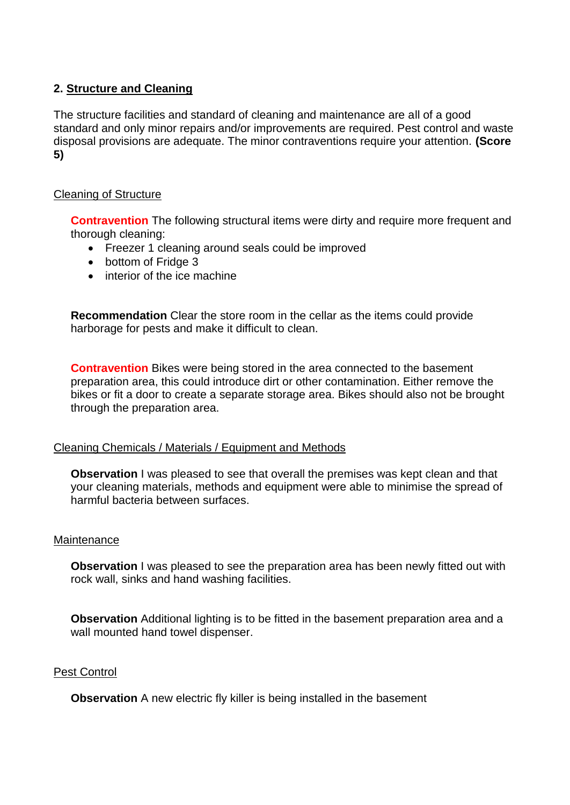## **2. Structure and Cleaning**

The structure facilities and standard of cleaning and maintenance are all of a good standard and only minor repairs and/or improvements are required. Pest control and waste disposal provisions are adequate. The minor contraventions require your attention. **(Score 5)**

### Cleaning of Structure

**Contravention** The following structural items were dirty and require more frequent and thorough cleaning:

- Freezer 1 cleaning around seals could be improved
- bottom of Fridge 3
- interior of the ice machine

**Recommendation** Clear the store room in the cellar as the items could provide harborage for pests and make it difficult to clean.

**Contravention** Bikes were being stored in the area connected to the basement preparation area, this could introduce dirt or other contamination. Either remove the bikes or fit a door to create a separate storage area. Bikes should also not be brought through the preparation area.

## Cleaning Chemicals / Materials / Equipment and Methods

**Observation** I was pleased to see that overall the premises was kept clean and that your cleaning materials, methods and equipment were able to minimise the spread of harmful bacteria between surfaces.

### **Maintenance**

**Observation** I was pleased to see the preparation area has been newly fitted out with rock wall, sinks and hand washing facilities.

**Observation** Additional lighting is to be fitted in the basement preparation area and a wall mounted hand towel dispenser.

#### Pest Control

**Observation** A new electric fly killer is being installed in the basement